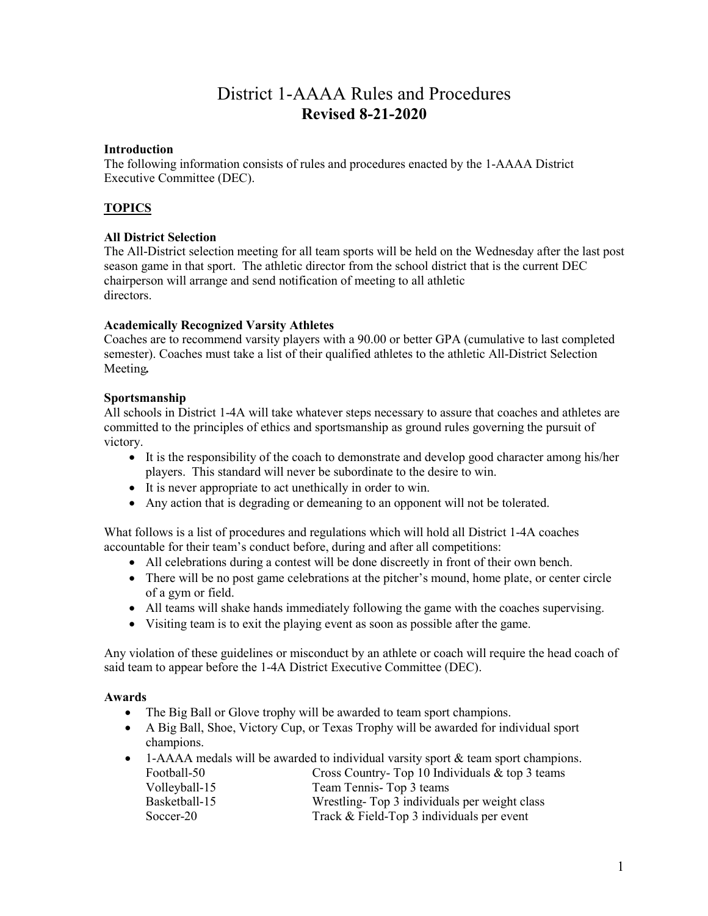# District 1-AAAA Rules and Procedures **Revised 8-21-2020**

### **Introduction**

The following information consists of rules and procedures enacted by the 1-AAAA District Executive Committee (DEC).

# **TOPICS**

### **All District Selection**

The All-District selection meeting for all team sports will be held on the Wednesday after the last post season game in that sport. The athletic director from the school district that is the current DEC chairperson will arrange and send notification of meeting to all athletic directors.

### **Academically Recognized Varsity Athletes**

Coaches are to recommend varsity players with a 90.00 or better GPA (cumulative to last completed semester). Coaches must take a list of their qualified athletes to the athletic All-District Selection Meeting*.*

### **Sportsmanship**

All schools in District 1-4A will take whatever steps necessary to assure that coaches and athletes are committed to the principles of ethics and sportsmanship as ground rules governing the pursuit of victory.

- It is the responsibility of the coach to demonstrate and develop good character among his/her players. This standard will never be subordinate to the desire to win.
- It is never appropriate to act unethically in order to win.
- Any action that is degrading or demeaning to an opponent will not be tolerated.

What follows is a list of procedures and regulations which will hold all District 1-4A coaches accountable for their team's conduct before, during and after all competitions:

- All celebrations during a contest will be done discreetly in front of their own bench.
- There will be no post game celebrations at the pitcher's mound, home plate, or center circle of a gym or field.
- All teams will shake hands immediately following the game with the coaches supervising.
- Visiting team is to exit the playing event as soon as possible after the game.

Any violation of these guidelines or misconduct by an athlete or coach will require the head coach of said team to appear before the 1-4A District Executive Committee (DEC).

### **Awards**

- The Big Ball or Glove trophy will be awarded to team sport champions.
- A Big Ball, Shoe, Victory Cup, or Texas Trophy will be awarded for individual sport champions.
- 1-AAAA medals will be awarded to individual varsity sport  $\&$  team sport champions. Football-50 Cross Country- Top 10 Individuals & top 3 teams Volleyball-15 Team Tennis- Top 3 teams Basketball-15 Wrestling- Top 3 individuals per weight class Soccer-20 Track & Field-Top 3 individuals per event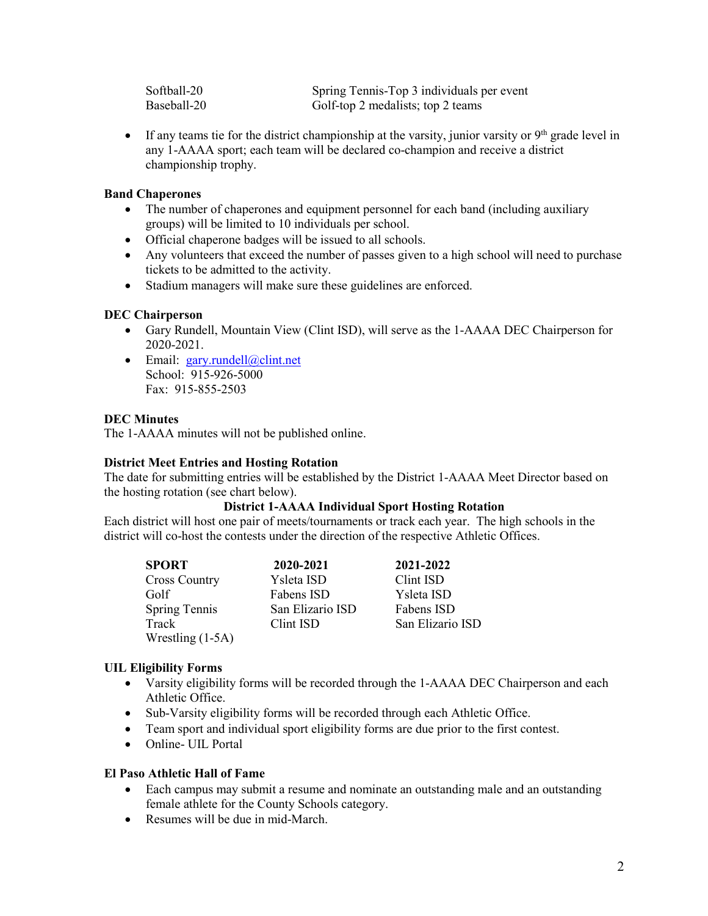| Softball-20 | Spring Tennis-Top 3 individuals per event |
|-------------|-------------------------------------------|
| Baseball-20 | Golf-top 2 medalists; top 2 teams         |

• If any teams tie for the district championship at the varsity, junior varsity or  $9<sup>th</sup>$  grade level in any 1-AAAA sport; each team will be declared co-champion and receive a district championship trophy.

### **Band Chaperones**

- The number of chaperones and equipment personnel for each band (including auxiliary groups) will be limited to 10 individuals per school.
- Official chaperone badges will be issued to all schools.
- Any volunteers that exceed the number of passes given to a high school will need to purchase tickets to be admitted to the activity.
- Stadium managers will make sure these guidelines are enforced.

### **DEC Chairperson**

- Gary Rundell, Mountain View (Clint ISD), will serve as the 1-AAAA DEC Chairperson for 2020-2021.
- Email: [gary.rundell@clint.net](mailto:gary.rundell@clint.net) School: 915-926-5000 Fax: 915-855-2503

### **DEC Minutes**

The 1-AAAA minutes will not be published online.

### **District Meet Entries and Hosting Rotation**

The date for submitting entries will be established by the District 1-AAAA Meet Director based on the hosting rotation (see chart below).

### **District 1-AAAA Individual Sport Hosting Rotation**

Each district will host one pair of meets/tournaments or track each year. The high schools in the district will co-host the contests under the direction of the respective Athletic Offices.

| <b>SPORT</b>         | 2020-2021        | 2021-2022        |
|----------------------|------------------|------------------|
| <b>Cross Country</b> | Ysleta ISD       | Clint ISD        |
| Golf                 | Fabens ISD       | Ysleta ISD       |
| <b>Spring Tennis</b> | San Elizario ISD | Fabens ISD       |
| Track                | Clint ISD        | San Elizario ISD |
| Wrestling $(1-5A)$   |                  |                  |

### **UIL Eligibility Forms**

- Varsity eligibility forms will be recorded through the 1-AAAA DEC Chairperson and each Athletic Office.
- Sub-Varsity eligibility forms will be recorded through each Athletic Office.
- Team sport and individual sport eligibility forms are due prior to the first contest.
- Online- UIL Portal

### **El Paso Athletic Hall of Fame**

- Each campus may submit a resume and nominate an outstanding male and an outstanding female athlete for the County Schools category.
- Resumes will be due in mid-March.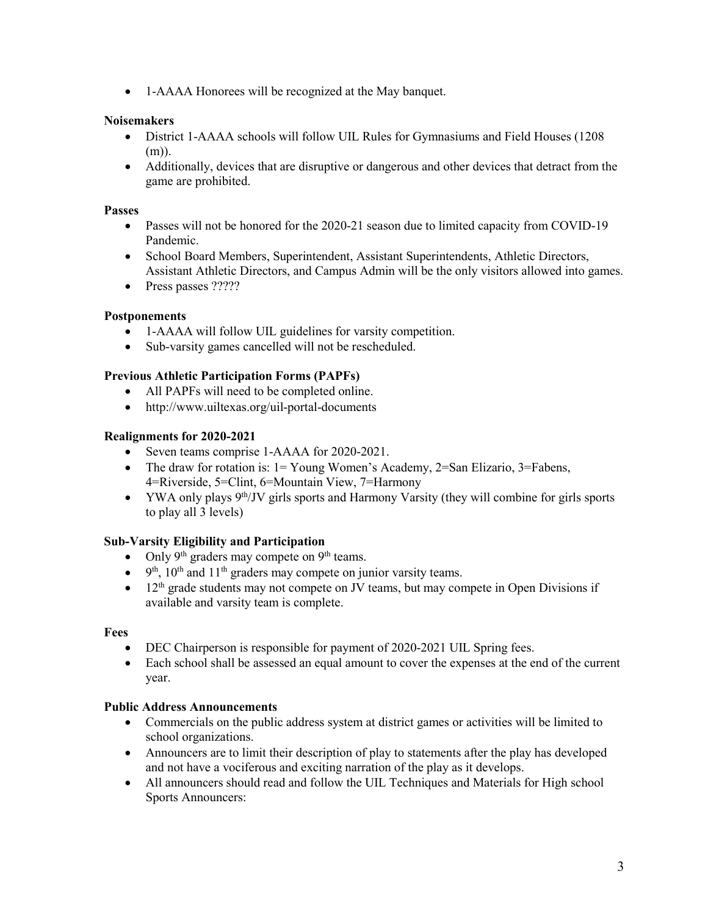• 1-AAAA Honorees will be recognized at the May banquet.

# **Noisemakers**

- District 1-AAAA schools will follow UIL Rules for Gymnasiums and Field Houses (1208 (m)).
- Additionally, devices that are disruptive or dangerous and other devices that detract from the game are prohibited.

### **Passes**

- Passes will not be honored for the 2020-21 season due to limited capacity from COVID-19 Pandemic.
- School Board Members, Superintendent, Assistant Superintendents, Athletic Directors, Assistant Athletic Directors, and Campus Admin will be the only visitors allowed into games.
- Press passes ?????

### **Postponements**

- 1-AAAA will follow UIL guidelines for varsity competition.
- Sub-varsity games cancelled will not be rescheduled.

### **Previous Athletic Participation Forms (PAPFs)**

- All PAPFs will need to be completed online.
- http://www.uiltexas.org/uil-portal-documents

### **Realignments for 2020-2021**

- Seven teams comprise 1-AAAA for 2020-2021.
- The draw for rotation is:  $1 = Young$  Women's Academy,  $2 = San$  Elizario,  $3 = Fabens$ , 4=Riverside, 5=Clint, 6=Mountain View, 7=Harmony
- YWA only plays  $9<sup>th</sup>/JV$  girls sports and Harmony Varsity (they will combine for girls sports to play all 3 levels)

# **Sub-Varsity Eligibility and Participation**

- Only  $9<sup>th</sup>$  graders may compete on  $9<sup>th</sup>$  teams.
- $9<sup>th</sup>$ ,  $10<sup>th</sup>$  and  $11<sup>th</sup>$  graders may compete on junior varsity teams.
- $\bullet$  12<sup>th</sup> grade students may not compete on JV teams, but may compete in Open Divisions if available and varsity team is complete.

### **Fees**

- DEC Chairperson is responsible for payment of 2020-2021 UIL Spring fees.
- Each school shall be assessed an equal amount to cover the expenses at the end of the current year.

### **Public Address Announcements**

- Commercials on the public address system at district games or activities will be limited to school organizations.
- Announcers are to limit their description of play to statements after the play has developed and not have a vociferous and exciting narration of the play as it develops.
- All announcers should read and follow the UIL Techniques and Materials for High school Sports Announcers: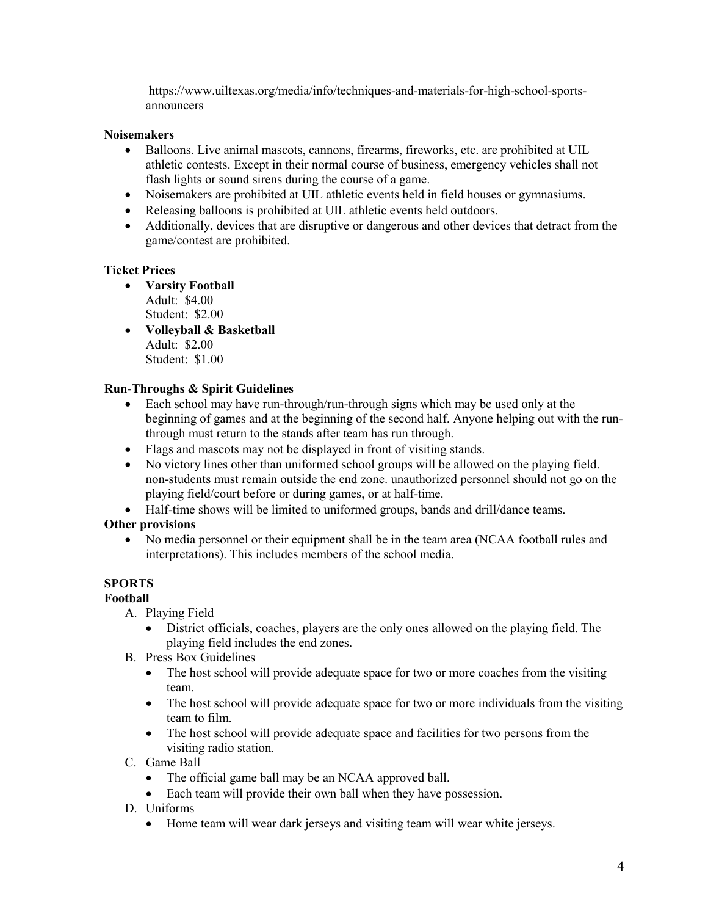https://www.uiltexas.org/media/info/techniques-and-materials-for-high-school-sportsannouncers

# **Noisemakers**

- Balloons. Live animal mascots, cannons, firearms, fireworks, etc. are prohibited at UIL athletic contests. Except in their normal course of business, emergency vehicles shall not flash lights or sound sirens during the course of a game.
- Noisemakers are prohibited at UIL athletic events held in field houses or gymnasiums.
- Releasing balloons is prohibited at UIL athletic events held outdoors.
- Additionally, devices that are disruptive or dangerous and other devices that detract from the game/contest are prohibited.

# **Ticket Prices**

- **Varsity Football** Adult: \$4.00 Student: \$2.00
- **Volleyball & Basketball**  Adult: \$2.00 Student: \$1.00

# **Run-Throughs & Spirit Guidelines**

- Each school may have run-through/run-through signs which may be used only at the beginning of games and at the beginning of the second half. Anyone helping out with the runthrough must return to the stands after team has run through.
- Flags and mascots may not be displayed in front of visiting stands.
- No victory lines other than uniformed school groups will be allowed on the playing field. non-students must remain outside the end zone. unauthorized personnel should not go on the playing field/court before or during games, or at half-time.
- Half-time shows will be limited to uniformed groups, bands and drill/dance teams.

# **Other provisions**

• No media personnel or their equipment shall be in the team area (NCAA football rules and interpretations). This includes members of the school media.

# **SPORTS**

# **Football**

- A. Playing Field
	- District officials, coaches, players are the only ones allowed on the playing field. The playing field includes the end zones.
- B. Press Box Guidelines
	- The host school will provide adequate space for two or more coaches from the visiting team.
	- The host school will provide adequate space for two or more individuals from the visiting team to film.
	- The host school will provide adequate space and facilities for two persons from the visiting radio station.
- C. Game Ball
	- The official game ball may be an NCAA approved ball.
	- Each team will provide their own ball when they have possession.
- D. Uniforms
	- Home team will wear dark jerseys and visiting team will wear white jerseys.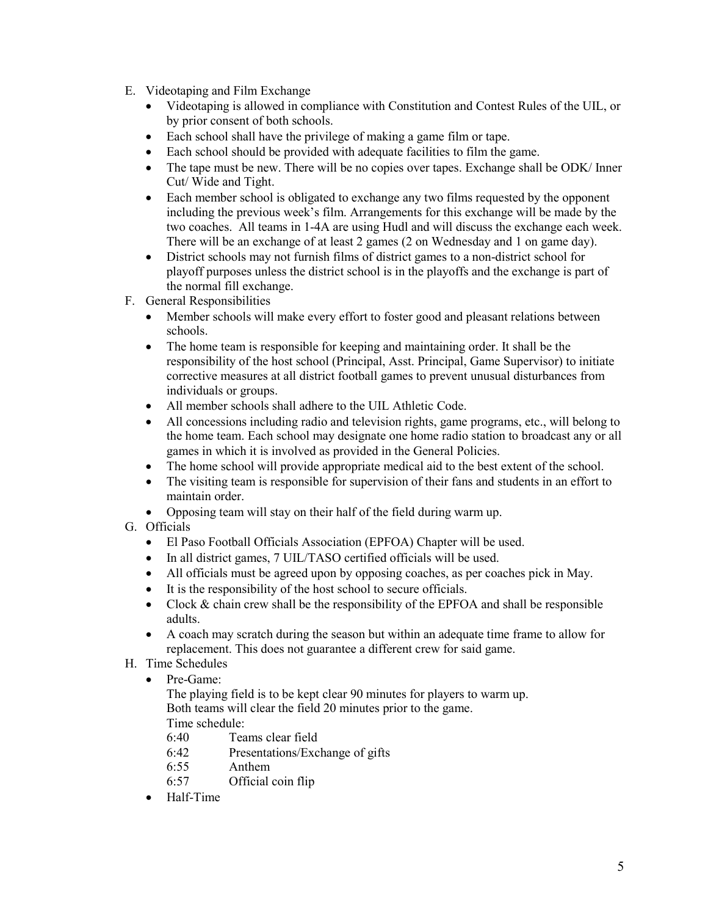- E. Videotaping and Film Exchange
	- Videotaping is allowed in compliance with Constitution and Contest Rules of the UIL, or by prior consent of both schools.
	- Each school shall have the privilege of making a game film or tape.
	- Each school should be provided with adequate facilities to film the game.
	- The tape must be new. There will be no copies over tapes. Exchange shall be ODK/ Inner Cut/ Wide and Tight.
	- Each member school is obligated to exchange any two films requested by the opponent including the previous week's film. Arrangements for this exchange will be made by the two coaches. All teams in 1-4A are using Hudl and will discuss the exchange each week. There will be an exchange of at least 2 games (2 on Wednesday and 1 on game day).
	- District schools may not furnish films of district games to a non-district school for playoff purposes unless the district school is in the playoffs and the exchange is part of the normal fill exchange.
- F. General Responsibilities
	- Member schools will make every effort to foster good and pleasant relations between schools.
	- The home team is responsible for keeping and maintaining order. It shall be the responsibility of the host school (Principal, Asst. Principal, Game Supervisor) to initiate corrective measures at all district football games to prevent unusual disturbances from individuals or groups.
	- All member schools shall adhere to the UIL Athletic Code.
	- All concessions including radio and television rights, game programs, etc., will belong to the home team. Each school may designate one home radio station to broadcast any or all games in which it is involved as provided in the General Policies.
	- The home school will provide appropriate medical aid to the best extent of the school.
	- The visiting team is responsible for supervision of their fans and students in an effort to maintain order.
	- Opposing team will stay on their half of the field during warm up.
- G. Officials
	- El Paso Football Officials Association (EPFOA) Chapter will be used.
	- In all district games, 7 UIL/TASO certified officials will be used.
	- All officials must be agreed upon by opposing coaches, as per coaches pick in May.
	- It is the responsibility of the host school to secure officials.
	- Clock  $&$  chain crew shall be the responsibility of the EPFOA and shall be responsible adults.
	- A coach may scratch during the season but within an adequate time frame to allow for replacement. This does not guarantee a different crew for said game.
- H. Time Schedules
	- Pre-Game:
		- The playing field is to be kept clear 90 minutes for players to warm up. Both teams will clear the field 20 minutes prior to the game. Time schedule:
		- 6:40 Teams clear field
		- 6:42 Presentations/Exchange of gifts
		- 6:55 Anthem
		- 6:57 Official coin flip
	- Half-Time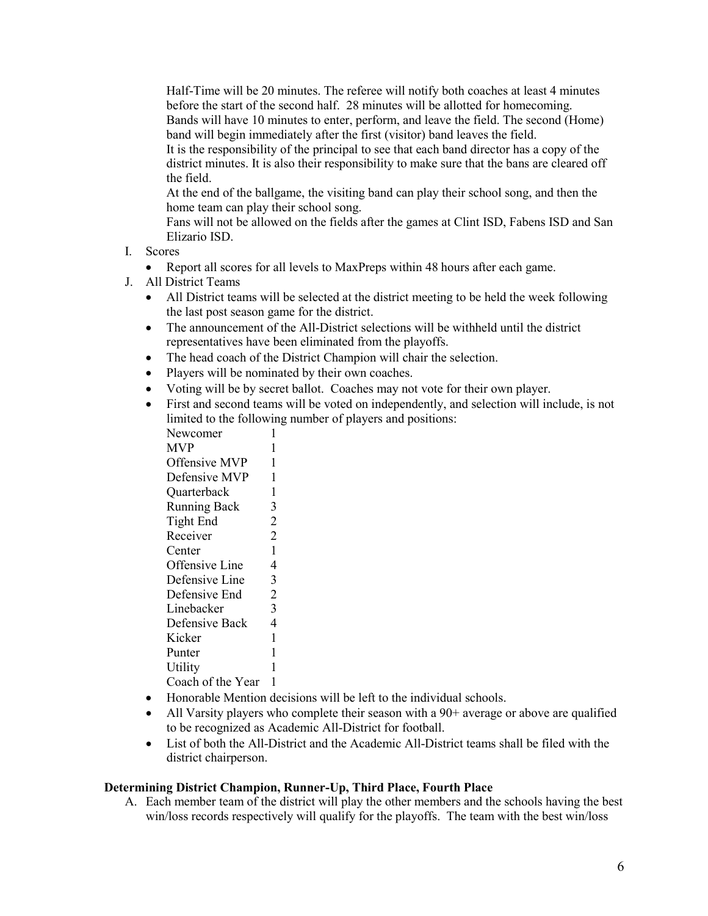Half-Time will be 20 minutes. The referee will notify both coaches at least 4 minutes before the start of the second half. 28 minutes will be allotted for homecoming. Bands will have 10 minutes to enter, perform, and leave the field. The second (Home) band will begin immediately after the first (visitor) band leaves the field.

It is the responsibility of the principal to see that each band director has a copy of the district minutes. It is also their responsibility to make sure that the bans are cleared off the field.

At the end of the ballgame, the visiting band can play their school song, and then the home team can play their school song.

Fans will not be allowed on the fields after the games at Clint ISD, Fabens ISD and San Elizario ISD.

I. Scores

• Report all scores for all levels to MaxPreps within 48 hours after each game.

- J. All District Teams
	- All District teams will be selected at the district meeting to be held the week following the last post season game for the district.
	- The announcement of the All-District selections will be withheld until the district representatives have been eliminated from the playoffs.
	- The head coach of the District Champion will chair the selection.
	- Players will be nominated by their own coaches.
	- Voting will be by secret ballot. Coaches may not vote for their own player.
	- First and second teams will be voted on independently, and selection will include, is not limited to the following number of players and positions:

| Newcomer             | 1              |
|----------------------|----------------|
| <b>MVP</b>           | 1              |
| <b>Offensive MVP</b> | 1              |
| Defensive MVP        | 1              |
| Quarterback          | $\mathbf{1}$   |
| <b>Running Back</b>  | 3              |
| Tight End            | $\overline{2}$ |
| Receiver             | $\overline{2}$ |
| Center               | $\mathbf{1}$   |
| Offensive Line       | 4              |
| Defensive Line       | 3              |
| Defensive End        | $\overline{2}$ |
| Linebacker           | 3              |
| Defensive Back       | $\overline{4}$ |
| Kicker               | $\mathbf{1}$   |
| Punter               | $\mathbf 1$    |
| Utility              | 1              |
| Coach of the Year    | 1              |
|                      |                |

- Honorable Mention decisions will be left to the individual schools.
- All Varsity players who complete their season with a 90+ average or above are qualified to be recognized as Academic All-District for football.
- List of both the All-District and the Academic All-District teams shall be filed with the district chairperson.

### **Determining District Champion, Runner-Up, Third Place, Fourth Place**

A. Each member team of the district will play the other members and the schools having the best win/loss records respectively will qualify for the playoffs. The team with the best win/loss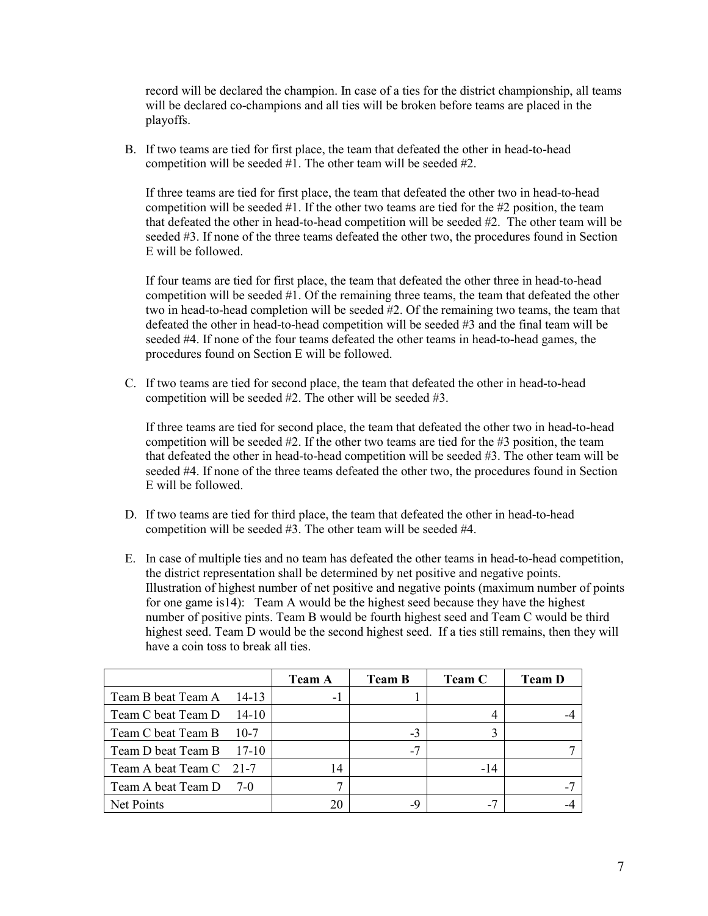record will be declared the champion. In case of a ties for the district championship, all teams will be declared co-champions and all ties will be broken before teams are placed in the playoffs.

B. If two teams are tied for first place, the team that defeated the other in head-to-head competition will be seeded #1. The other team will be seeded #2.

If three teams are tied for first place, the team that defeated the other two in head-to-head competition will be seeded  $#1$ . If the other two teams are tied for the  $#2$  position, the team that defeated the other in head-to-head competition will be seeded #2. The other team will be seeded #3. If none of the three teams defeated the other two, the procedures found in Section E will be followed.

If four teams are tied for first place, the team that defeated the other three in head-to-head competition will be seeded #1. Of the remaining three teams, the team that defeated the other two in head-to-head completion will be seeded #2. Of the remaining two teams, the team that defeated the other in head-to-head competition will be seeded #3 and the final team will be seeded #4. If none of the four teams defeated the other teams in head-to-head games, the procedures found on Section E will be followed.

C. If two teams are tied for second place, the team that defeated the other in head-to-head competition will be seeded #2. The other will be seeded #3.

If three teams are tied for second place, the team that defeated the other two in head-to-head competition will be seeded  $#2$ . If the other two teams are tied for the  $#3$  position, the team that defeated the other in head-to-head competition will be seeded #3. The other team will be seeded #4. If none of the three teams defeated the other two, the procedures found in Section E will be followed.

- D. If two teams are tied for third place, the team that defeated the other in head-to-head competition will be seeded #3. The other team will be seeded #4.
- E. In case of multiple ties and no team has defeated the other teams in head-to-head competition, the district representation shall be determined by net positive and negative points. Illustration of highest number of net positive and negative points (maximum number of points for one game is14): Team A would be the highest seed because they have the highest number of positive pints. Team B would be fourth highest seed and Team C would be third highest seed. Team D would be the second highest seed. If a ties still remains, then they will have a coin toss to break all ties.

|                          |         | <b>Team A</b> | <b>Team B</b> | <b>Team C</b> | <b>Team D</b> |
|--------------------------|---------|---------------|---------------|---------------|---------------|
| Team B beat Team A 14-13 |         | - 1           |               |               |               |
| Team C beat Team D       | $14-10$ |               |               |               |               |
| Team C beat Team B       | $10-7$  |               | $-3$          |               |               |
| Team D beat Team B 17-10 |         |               | $-7$          |               |               |
| Team A beat Team C 21-7  |         | 14            |               | $-14$         |               |
| Team A beat Team D 7-0   |         |               |               |               |               |
| Net Points               |         | 20            | -9            |               |               |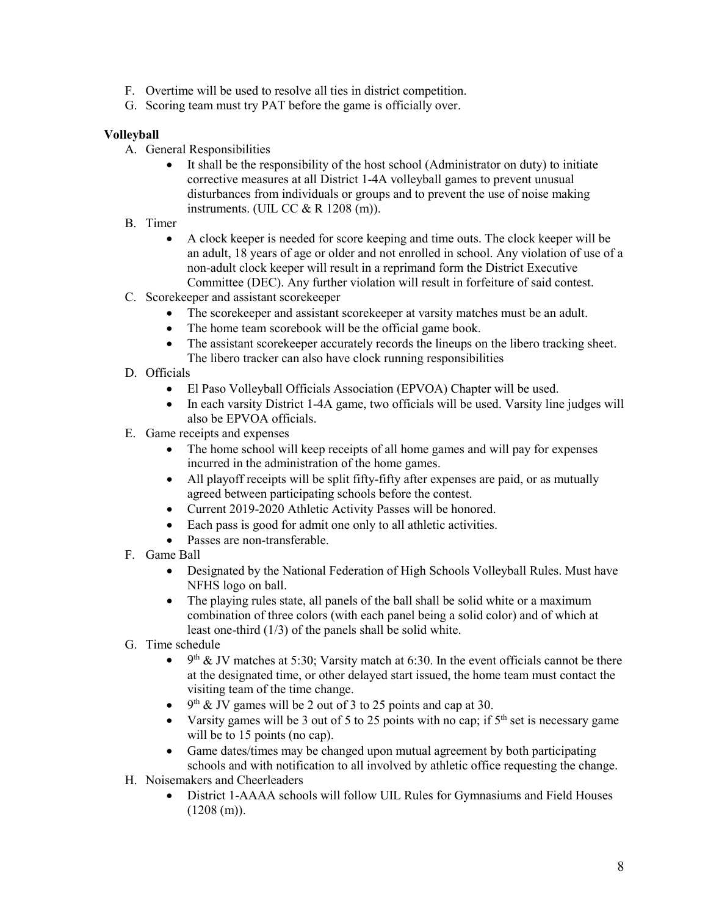- F. Overtime will be used to resolve all ties in district competition.
- G. Scoring team must try PAT before the game is officially over.

# **Volleyball**

- A. General Responsibilities
	- It shall be the responsibility of the host school (Administrator on duty) to initiate corrective measures at all District 1-4A volleyball games to prevent unusual disturbances from individuals or groups and to prevent the use of noise making instruments. (UIL CC  $&$  R 1208 (m)).
- B. Timer
	- A clock keeper is needed for score keeping and time outs. The clock keeper will be an adult, 18 years of age or older and not enrolled in school. Any violation of use of a non-adult clock keeper will result in a reprimand form the District Executive Committee (DEC). Any further violation will result in forfeiture of said contest.
- C. Scorekeeper and assistant scorekeeper
	- The scorekeeper and assistant scorekeeper at varsity matches must be an adult.
	- The home team scorebook will be the official game book.
	- The assistant score keeper accurately records the lineups on the libero tracking sheet. The libero tracker can also have clock running responsibilities
- D. Officials
	- El Paso Volleyball Officials Association (EPVOA) Chapter will be used.
	- In each varsity District 1-4A game, two officials will be used. Varsity line judges will also be EPVOA officials.
- E. Game receipts and expenses
	- The home school will keep receipts of all home games and will pay for expenses incurred in the administration of the home games.
	- All playoff receipts will be split fifty-fifty after expenses are paid, or as mutually agreed between participating schools before the contest.
	- Current 2019-2020 Athletic Activity Passes will be honored.
	- Each pass is good for admit one only to all athletic activities.
	- Passes are non-transferable.
- F. Game Ball
	- Designated by the National Federation of High Schools Volleyball Rules. Must have NFHS logo on ball.
	- The playing rules state, all panels of the ball shall be solid white or a maximum combination of three colors (with each panel being a solid color) and of which at least one-third (1/3) of the panels shall be solid white.
- G. Time schedule
	- $9<sup>th</sup>$  & JV matches at 5:30; Varsity match at 6:30. In the event officials cannot be there at the designated time, or other delayed start issued, the home team must contact the visiting team of the time change.
	- 9<sup>th</sup> & JV games will be 2 out of 3 to 25 points and cap at 30.
	- Varsity games will be 3 out of 5 to 25 points with no cap; if  $5<sup>th</sup>$  set is necessary game will be to 15 points (no cap).
	- Game dates/times may be changed upon mutual agreement by both participating schools and with notification to all involved by athletic office requesting the change.
- H. Noisemakers and Cheerleaders
	- District 1-AAAA schools will follow UIL Rules for Gymnasiums and Field Houses  $(1208$  (m)).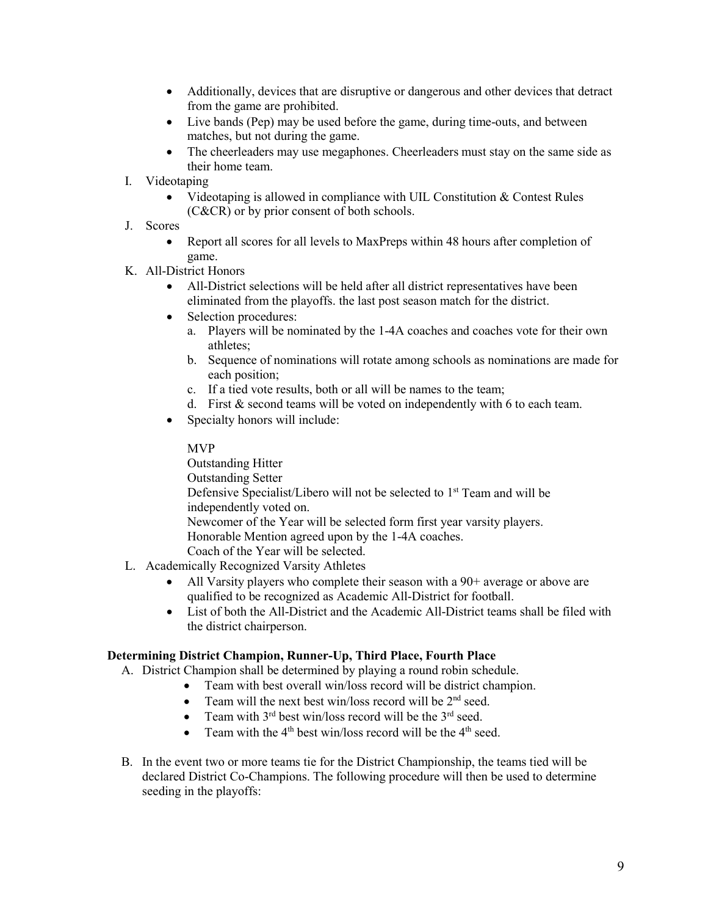- Additionally, devices that are disruptive or dangerous and other devices that detract from the game are prohibited.
- Live bands (Pep) may be used before the game, during time-outs, and between matches, but not during the game.
- The cheerleaders may use megaphones. Cheerleaders must stay on the same side as their home team.
- I. Videotaping
	- Videotaping is allowed in compliance with UIL Constitution & Contest Rules (C&CR) or by prior consent of both schools.
- J. Scores
	- Report all scores for all levels to MaxPreps within 48 hours after completion of game.
- K. All-District Honors
	- All-District selections will be held after all district representatives have been eliminated from the playoffs. the last post season match for the district.
	- Selection procedures:
		- a. Players will be nominated by the 1-4A coaches and coaches vote for their own athletes;
		- b. Sequence of nominations will rotate among schools as nominations are made for each position;
		- c. If a tied vote results, both or all will be names to the team;
		- d. First & second teams will be voted on independently with 6 to each team.
	- Specialty honors will include:

### MVP

Outstanding Hitter Outstanding Setter Defensive Specialist/Libero will not be selected to 1<sup>st</sup> Team and will be independently voted on. Newcomer of the Year will be selected form first year varsity players. Honorable Mention agreed upon by the 1-4A coaches. Coach of the Year will be selected.

- L. Academically Recognized Varsity Athletes
	- All Varsity players who complete their season with a 90+ average or above are qualified to be recognized as Academic All-District for football.
	- List of both the All-District and the Academic All-District teams shall be filed with the district chairperson.

# **Determining District Champion, Runner-Up, Third Place, Fourth Place**

- A. District Champion shall be determined by playing a round robin schedule.
	- Team with best overall win/loss record will be district champion.
	- Team will the next best win/loss record will be  $2<sup>nd</sup>$  seed.
	- Team with  $3^{rd}$  best win/loss record will be the  $3^{rd}$  seed.
	- Team with the  $4<sup>th</sup>$  best win/loss record will be the  $4<sup>th</sup>$  seed.
- B. In the event two or more teams tie for the District Championship, the teams tied will be declared District Co-Champions. The following procedure will then be used to determine seeding in the playoffs: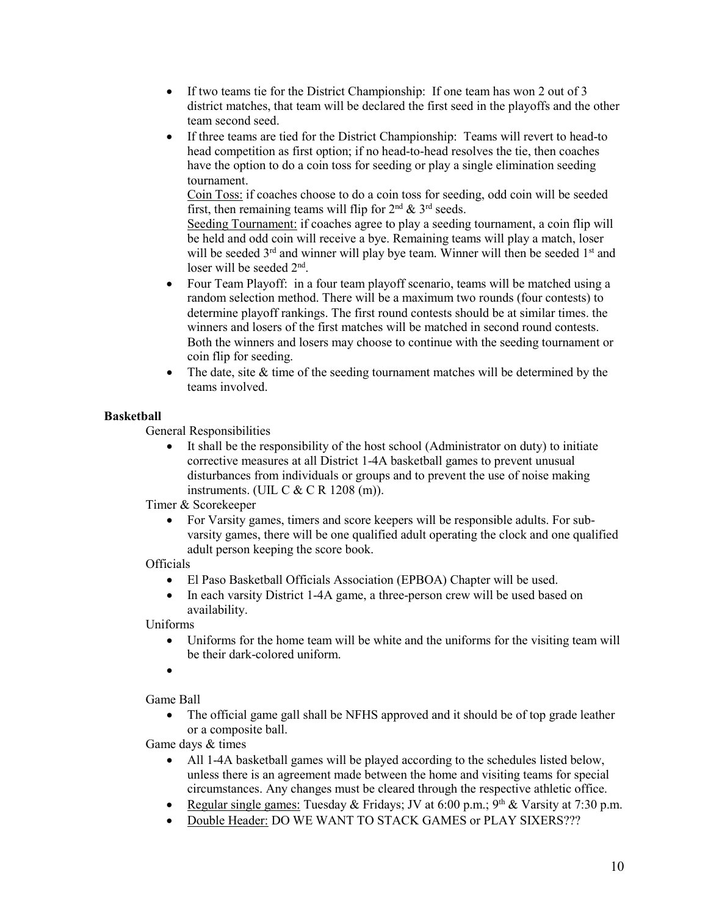- If two teams tie for the District Championship: If one team has won 2 out of 3 district matches, that team will be declared the first seed in the playoffs and the other team second seed.
- If three teams are tied for the District Championship: Teams will revert to head-to head competition as first option; if no head-to-head resolves the tie, then coaches have the option to do a coin toss for seeding or play a single elimination seeding tournament.

Coin Toss: if coaches choose to do a coin toss for seeding, odd coin will be seeded first, then remaining teams will flip for  $2<sup>nd</sup> \& 3<sup>rd</sup>$  seeds.

Seeding Tournament: if coaches agree to play a seeding tournament, a coin flip will be held and odd coin will receive a bye. Remaining teams will play a match, loser will be seeded  $3<sup>rd</sup>$  and winner will play bye team. Winner will then be seeded  $1<sup>st</sup>$  and loser will be seeded  $2<sup>nd</sup>$ .

- Four Team Playoff: in a four team playoff scenario, teams will be matched using a random selection method. There will be a maximum two rounds (four contests) to determine playoff rankings. The first round contests should be at similar times. the winners and losers of the first matches will be matched in second round contests. Both the winners and losers may choose to continue with the seeding tournament or coin flip for seeding.
- The date, site & time of the seeding tournament matches will be determined by the teams involved.

# **Basketball**

General Responsibilities

• It shall be the responsibility of the host school (Administrator on duty) to initiate corrective measures at all District 1-4A basketball games to prevent unusual disturbances from individuals or groups and to prevent the use of noise making instruments. (UIL C & C R 1208 (m)).

Timer & Scorekeeper

• For Varsity games, timers and score keepers will be responsible adults. For subvarsity games, there will be one qualified adult operating the clock and one qualified adult person keeping the score book.

**Officials** 

- El Paso Basketball Officials Association (EPBOA) Chapter will be used.
- In each varsity District 1-4A game, a three-person crew will be used based on availability.

Uniforms

- Uniforms for the home team will be white and the uniforms for the visiting team will be their dark-colored uniform.
- •

Game Ball

• The official game gall shall be NFHS approved and it should be of top grade leather or a composite ball.

Game days & times

- All 1-4A basketball games will be played according to the schedules listed below, unless there is an agreement made between the home and visiting teams for special circumstances. Any changes must be cleared through the respective athletic office.
- Regular single games: Tuesday & Fridays; JV at  $6:00$  p.m.;  $9<sup>th</sup>$  & Varsity at 7:30 p.m.
- Double Header: DO WE WANT TO STACK GAMES or PLAY SIXERS???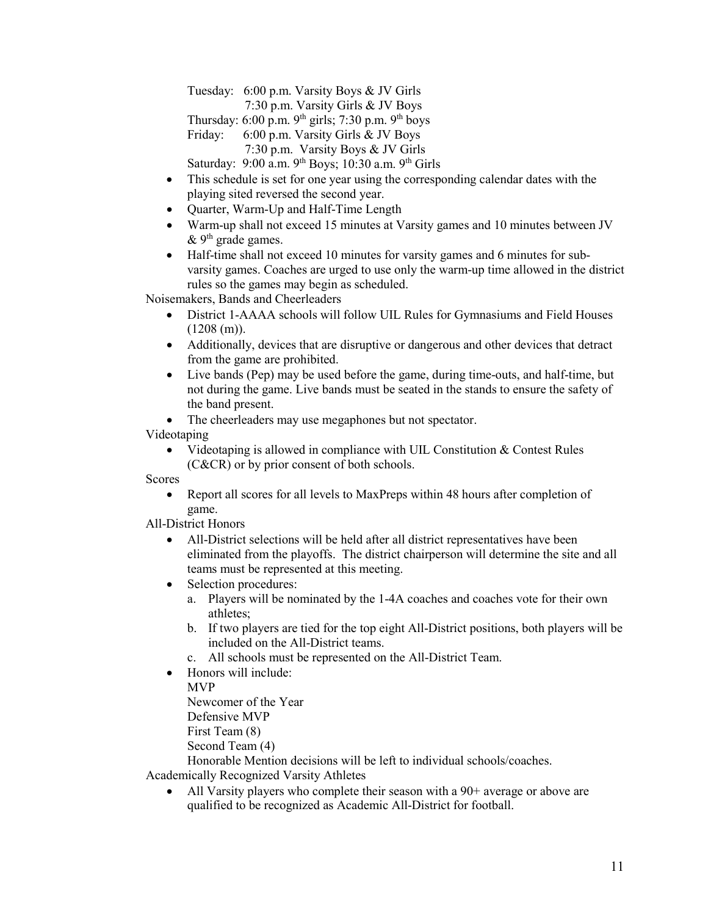Tuesday: 6:00 p.m. Varsity Boys & JV Girls

7:30 p.m. Varsity Girls & JV Boys

Thursday:  $6:00$  p.m.  $9<sup>th</sup>$  girls;  $7:30$  p.m.  $9<sup>th</sup>$  boys

Friday: 6:00 p.m. Varsity Girls & JV Boys

7:30 p.m. Varsity Boys & JV Girls

Saturday: 9:00 a.m. 9th Boys; 10:30 a.m. 9th Girls

- This schedule is set for one year using the corresponding calendar dates with the playing sited reversed the second year.
- Quarter, Warm-Up and Half-Time Length
- Warm-up shall not exceed 15 minutes at Varsity games and 10 minutes between JV  $&$  9<sup>th</sup> grade games.
- Half-time shall not exceed 10 minutes for varsity games and 6 minutes for subvarsity games. Coaches are urged to use only the warm-up time allowed in the district rules so the games may begin as scheduled.

Noisemakers, Bands and Cheerleaders

- District 1-AAAA schools will follow UIL Rules for Gymnasiums and Field Houses  $(1208$  (m)).
- Additionally, devices that are disruptive or dangerous and other devices that detract from the game are prohibited.
- Live bands (Pep) may be used before the game, during time-outs, and half-time, but not during the game. Live bands must be seated in the stands to ensure the safety of the band present.

• The cheerleaders may use megaphones but not spectator.

Videotaping

Videotaping is allowed in compliance with UIL Constitution  $&$  Contest Rules (C&CR) or by prior consent of both schools.

Scores

• Report all scores for all levels to MaxPreps within 48 hours after completion of game.

All-District Honors

- All-District selections will be held after all district representatives have been eliminated from the playoffs. The district chairperson will determine the site and all teams must be represented at this meeting.
- Selection procedures:
	- a. Players will be nominated by the 1-4A coaches and coaches vote for their own athletes;
	- b. If two players are tied for the top eight All-District positions, both players will be included on the All-District teams.
	- c. All schools must be represented on the All-District Team.
- Honors will include:

MVP

Newcomer of the Year

Defensive MVP

First Team (8)

Second Team (4)

Honorable Mention decisions will be left to individual schools/coaches.

Academically Recognized Varsity Athletes

• All Varsity players who complete their season with a 90+ average or above are qualified to be recognized as Academic All-District for football.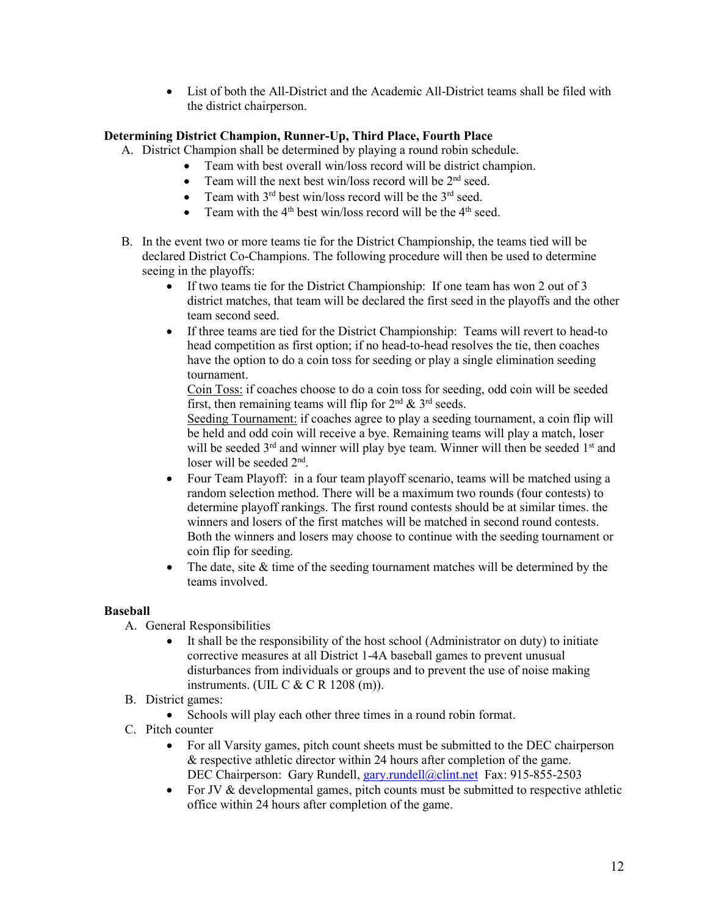• List of both the All-District and the Academic All-District teams shall be filed with the district chairperson.

# **Determining District Champion, Runner-Up, Third Place, Fourth Place**

- A. District Champion shall be determined by playing a round robin schedule.
	- Team with best overall win/loss record will be district champion.
		- Team will the next best win/loss record will be  $2<sup>nd</sup>$  seed.
		- Team with  $3^{rd}$  best win/loss record will be the  $3^{rd}$  seed.<br>• Team with the  $4^{th}$  best win/loss record will be the  $4^{th}$  se
		- Team with the  $4<sup>th</sup>$  best win/loss record will be the  $4<sup>th</sup>$  seed.
- B. In the event two or more teams tie for the District Championship, the teams tied will be declared District Co-Champions. The following procedure will then be used to determine seeing in the playoffs:
	- If two teams tie for the District Championship: If one team has won 2 out of 3 district matches, that team will be declared the first seed in the playoffs and the other team second seed.
	- If three teams are tied for the District Championship: Teams will revert to head-to head competition as first option; if no head-to-head resolves the tie, then coaches have the option to do a coin toss for seeding or play a single elimination seeding tournament.

Coin Toss: if coaches choose to do a coin toss for seeding, odd coin will be seeded first, then remaining teams will flip for  $2<sup>nd</sup>$  &  $3<sup>rd</sup>$  seeds.

Seeding Tournament: if coaches agree to play a seeding tournament, a coin flip will be held and odd coin will receive a bye. Remaining teams will play a match, loser will be seeded  $3<sup>rd</sup>$  and winner will play bye team. Winner will then be seeded  $1<sup>st</sup>$  and loser will be seeded 2nd.

- Four Team Playoff: in a four team playoff scenario, teams will be matched using a random selection method. There will be a maximum two rounds (four contests) to determine playoff rankings. The first round contests should be at similar times. the winners and losers of the first matches will be matched in second round contests. Both the winners and losers may choose to continue with the seeding tournament or coin flip for seeding.
- The date, site & time of the seeding tournament matches will be determined by the teams involved.

# **Baseball**

- A. General Responsibilities
	- It shall be the responsibility of the host school (Administrator on duty) to initiate corrective measures at all District 1-4A baseball games to prevent unusual disturbances from individuals or groups and to prevent the use of noise making instruments. (UIL C  $&$  C R 1208 (m)).
- B. District games:
	- Schools will play each other three times in a round robin format.
- C. Pitch counter
	- For all Varsity games, pitch count sheets must be submitted to the DEC chairperson & respective athletic director within 24 hours after completion of the game. DEC Chairperson: Gary Rundell, [gary.rundell@clint.net](mailto:gary.rundell@clint.net) Fax: 915-855-2503
	- For JV & developmental games, pitch counts must be submitted to respective athletic office within 24 hours after completion of the game.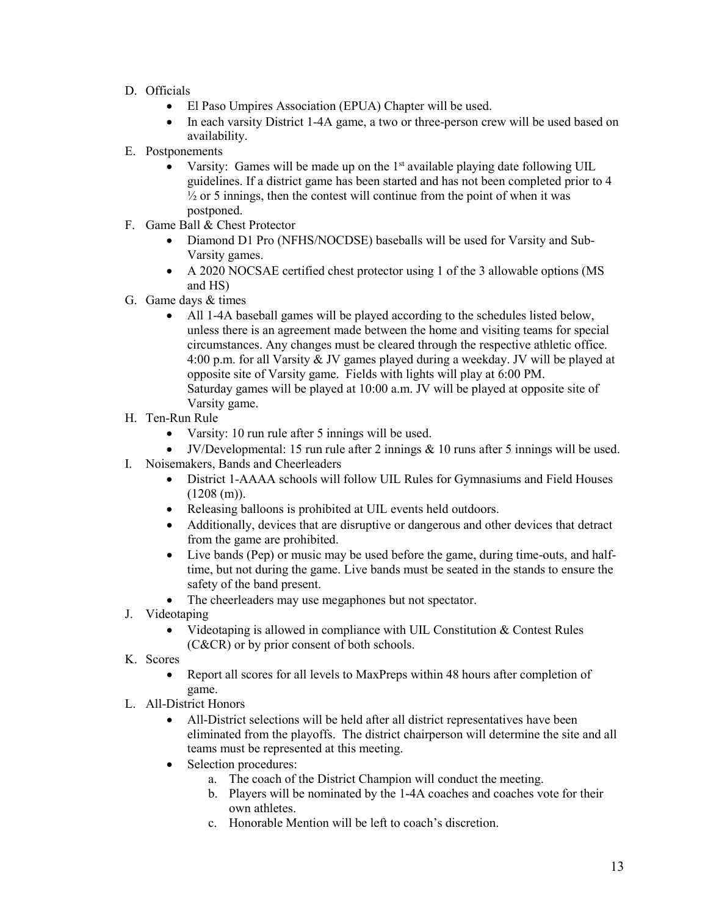- D. Officials
	- El Paso Umpires Association (EPUA) Chapter will be used.
	- In each varsity District 1-4A game, a two or three-person crew will be used based on availability.
- E. Postponements
	- Varsity: Games will be made up on the  $1<sup>st</sup>$  available playing date following UIL guidelines. If a district game has been started and has not been completed prior to 4  $\frac{1}{2}$  or 5 innings, then the contest will continue from the point of when it was postponed.
- F. Game Ball & Chest Protector
	- Diamond D1 Pro (NFHS/NOCDSE) baseballs will be used for Varsity and Sub-Varsity games.
	- A 2020 NOCSAE certified chest protector using 1 of the 3 allowable options (MS and HS)
- G. Game days & times
	- All 1-4A baseball games will be played according to the schedules listed below, unless there is an agreement made between the home and visiting teams for special circumstances. Any changes must be cleared through the respective athletic office. 4:00 p.m. for all Varsity & JV games played during a weekday. JV will be played at opposite site of Varsity game. Fields with lights will play at 6:00 PM. Saturday games will be played at 10:00 a.m. JV will be played at opposite site of Varsity game.
- H. Ten-Run Rule
	- Varsity: 10 run rule after 5 innings will be used.
	- JV/Developmental: 15 run rule after 2 innings  $\&$  10 runs after 5 innings will be used.
- I. Noisemakers, Bands and Cheerleaders
	- District 1-AAAA schools will follow UIL Rules for Gymnasiums and Field Houses  $(1208(m)).$
	- Releasing balloons is prohibited at UIL events held outdoors.
	- Additionally, devices that are disruptive or dangerous and other devices that detract from the game are prohibited.
	- Live bands (Pep) or music may be used before the game, during time-outs, and halftime, but not during the game. Live bands must be seated in the stands to ensure the safety of the band present.
	- The cheerleaders may use megaphones but not spectator.
- J. Videotaping
	- Videotaping is allowed in compliance with UIL Constitution & Contest Rules (C&CR) or by prior consent of both schools.
- K. Scores
	- Report all scores for all levels to MaxPreps within 48 hours after completion of game.
- L. All-District Honors
	- All-District selections will be held after all district representatives have been eliminated from the playoffs. The district chairperson will determine the site and all teams must be represented at this meeting.
	- Selection procedures:
		- a. The coach of the District Champion will conduct the meeting.
		- b. Players will be nominated by the 1-4A coaches and coaches vote for their own athletes.
		- c. Honorable Mention will be left to coach's discretion.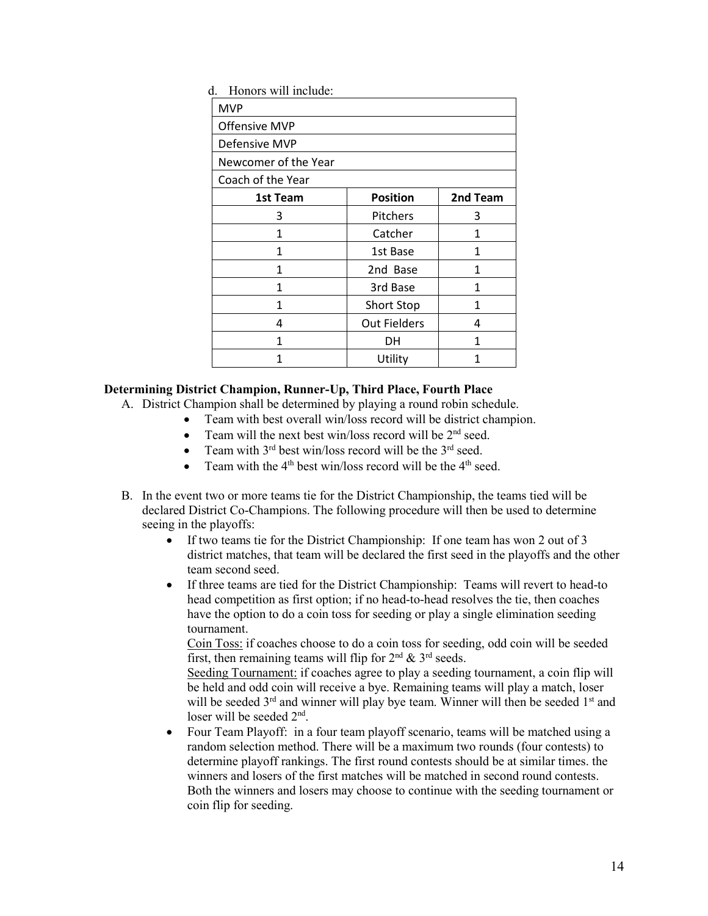| d.<br>Honors will include: |                     |          |
|----------------------------|---------------------|----------|
| <b>MVP</b>                 |                     |          |
| <b>Offensive MVP</b>       |                     |          |
| Defensive MVP              |                     |          |
| Newcomer of the Year       |                     |          |
| Coach of the Year          |                     |          |
| 1st Team                   | <b>Position</b>     | 2nd Team |
| 3                          | Pitchers            | 3        |
| 1                          | Catcher             | 1        |
| 1                          | 1st Base            | 1        |
| 1                          | 2nd Base            | 1        |
| 1                          | 3rd Base            | 1        |
| 1                          | Short Stop          | 1        |
| 4                          | <b>Out Fielders</b> | 4        |
| 1                          | DH                  | 1        |
|                            | Utility             | 1        |

### **Determining District Champion, Runner-Up, Third Place, Fourth Place**

- A. District Champion shall be determined by playing a round robin schedule.
	- Team with best overall win/loss record will be district champion.
	- Team will the next best win/loss record will be  $2<sup>nd</sup>$  seed.
	- Team with  $3^{rd}$  best win/loss record will be the  $3^{rd}$  seed.
	- Team with the  $4<sup>th</sup>$  best win/loss record will be the  $4<sup>th</sup>$  seed.
- B. In the event two or more teams tie for the District Championship, the teams tied will be declared District Co-Champions. The following procedure will then be used to determine seeing in the playoffs:
	- If two teams tie for the District Championship: If one team has won 2 out of 3 district matches, that team will be declared the first seed in the playoffs and the other team second seed.
	- If three teams are tied for the District Championship: Teams will revert to head-to head competition as first option; if no head-to-head resolves the tie, then coaches have the option to do a coin toss for seeding or play a single elimination seeding tournament.

Coin Toss: if coaches choose to do a coin toss for seeding, odd coin will be seeded first, then remaining teams will flip for  $2<sup>nd</sup> \& 3<sup>rd</sup>$  seeds.

Seeding Tournament: if coaches agree to play a seeding tournament, a coin flip will be held and odd coin will receive a bye. Remaining teams will play a match, loser will be seeded  $3<sup>rd</sup>$  and winner will play bye team. Winner will then be seeded  $1<sup>st</sup>$  and loser will be seeded 2nd.

• Four Team Playoff: in a four team playoff scenario, teams will be matched using a random selection method. There will be a maximum two rounds (four contests) to determine playoff rankings. The first round contests should be at similar times. the winners and losers of the first matches will be matched in second round contests. Both the winners and losers may choose to continue with the seeding tournament or coin flip for seeding.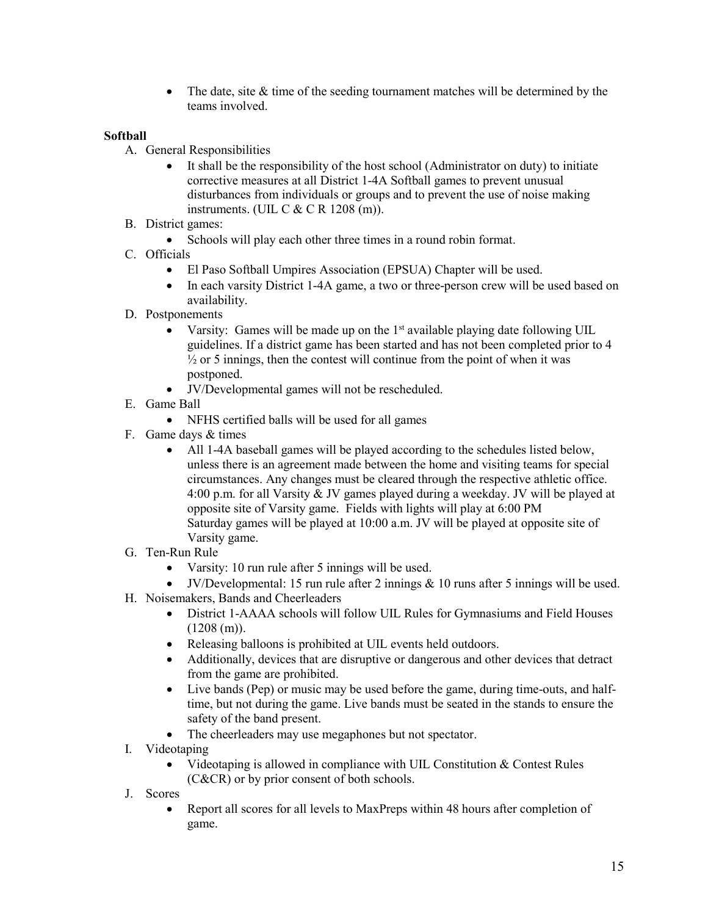• The date, site & time of the seeding tournament matches will be determined by the teams involved.

# **Softball**

- A. General Responsibilities
	- It shall be the responsibility of the host school (Administrator on duty) to initiate corrective measures at all District 1-4A Softball games to prevent unusual disturbances from individuals or groups and to prevent the use of noise making instruments. (UIL C & C R 1208 (m)).
- B. District games:
	- Schools will play each other three times in a round robin format.
- C. Officials
	- El Paso Softball Umpires Association (EPSUA) Chapter will be used.
	- In each varsity District 1-4A game, a two or three-person crew will be used based on availability.
- D. Postponements
	- Varsity: Games will be made up on the  $1<sup>st</sup>$  available playing date following UIL guidelines. If a district game has been started and has not been completed prior to 4  $\frac{1}{2}$  or 5 innings, then the contest will continue from the point of when it was postponed.
	- JV/Developmental games will not be rescheduled.
- E. Game Ball
	- NFHS certified balls will be used for all games
- F. Game days & times
	- All 1-4A baseball games will be played according to the schedules listed below, unless there is an agreement made between the home and visiting teams for special circumstances. Any changes must be cleared through the respective athletic office. 4:00 p.m. for all Varsity & JV games played during a weekday. JV will be played at opposite site of Varsity game. Fields with lights will play at 6:00 PM Saturday games will be played at 10:00 a.m. JV will be played at opposite site of Varsity game.
- G. Ten-Run Rule
	- Varsity: 10 run rule after 5 innings will be used.
	- JV/Developmental: 15 run rule after 2 innings  $\&$  10 runs after 5 innings will be used.
- H. Noisemakers, Bands and Cheerleaders
	- District 1-AAAA schools will follow UIL Rules for Gymnasiums and Field Houses  $(1208$  (m)).
	- Releasing balloons is prohibited at UIL events held outdoors.
	- Additionally, devices that are disruptive or dangerous and other devices that detract from the game are prohibited.
	- Live bands (Pep) or music may be used before the game, during time-outs, and halftime, but not during the game. Live bands must be seated in the stands to ensure the safety of the band present.
	- The cheerleaders may use megaphones but not spectator.
- I. Videotaping
	- Videotaping is allowed in compliance with UIL Constitution  $&$  Contest Rules (C&CR) or by prior consent of both schools.
- J. Scores
	- Report all scores for all levels to MaxPreps within 48 hours after completion of game.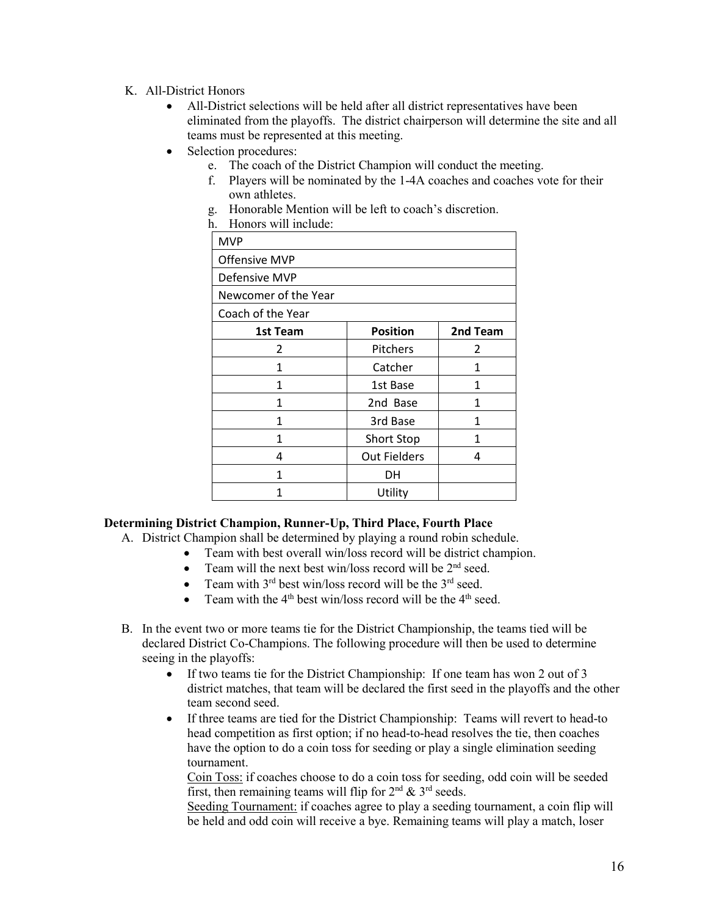### K. All-District Honors

- All-District selections will be held after all district representatives have been eliminated from the playoffs. The district chairperson will determine the site and all teams must be represented at this meeting.
- Selection procedures:
	- e. The coach of the District Champion will conduct the meeting.
	- f. Players will be nominated by the 1-4A coaches and coaches vote for their own athletes.
	- g. Honorable Mention will be left to coach's discretion.
	- h. Honors will include:

| <b>MVP</b>           |                     |          |
|----------------------|---------------------|----------|
| <b>Offensive MVP</b> |                     |          |
| Defensive MVP        |                     |          |
| Newcomer of the Year |                     |          |
| Coach of the Year    |                     |          |
| 1st Team             | <b>Position</b>     | 2nd Team |
| 2                    | Pitchers            | 2        |
| 1                    | Catcher             | 1        |
| 1                    | 1st Base            | 1        |
| 1                    | 2nd Base            | 1        |
| 1                    | 3rd Base            | 1        |
| 1                    | Short Stop          | 1        |
| 4                    | <b>Out Fielders</b> | 4        |
| 1                    | DH                  |          |
|                      | Utility             |          |

# **Determining District Champion, Runner-Up, Third Place, Fourth Place**

- A. District Champion shall be determined by playing a round robin schedule.
	- Team with best overall win/loss record will be district champion.<br>• Team will the next best win/loss record will be  $2<sup>nd</sup>$  seed
	- Team will the next best win/loss record will be 2<sup>nd</sup> seed.
	- Team with  $3<sup>rd</sup>$  best win/loss record will be the  $3<sup>rd</sup>$  seed.
	- Team with the  $4<sup>th</sup>$  best win/loss record will be the  $4<sup>th</sup>$  seed.
- B. In the event two or more teams tie for the District Championship, the teams tied will be declared District Co-Champions. The following procedure will then be used to determine seeing in the playoffs:
	- If two teams tie for the District Championship: If one team has won 2 out of 3 district matches, that team will be declared the first seed in the playoffs and the other team second seed.
	- If three teams are tied for the District Championship: Teams will revert to head-to head competition as first option; if no head-to-head resolves the tie, then coaches have the option to do a coin toss for seeding or play a single elimination seeding tournament.

Coin Toss: if coaches choose to do a coin toss for seeding, odd coin will be seeded first, then remaining teams will flip for  $2<sup>nd</sup> \& 3<sup>rd</sup>$  seeds.

Seeding Tournament: if coaches agree to play a seeding tournament, a coin flip will be held and odd coin will receive a bye. Remaining teams will play a match, loser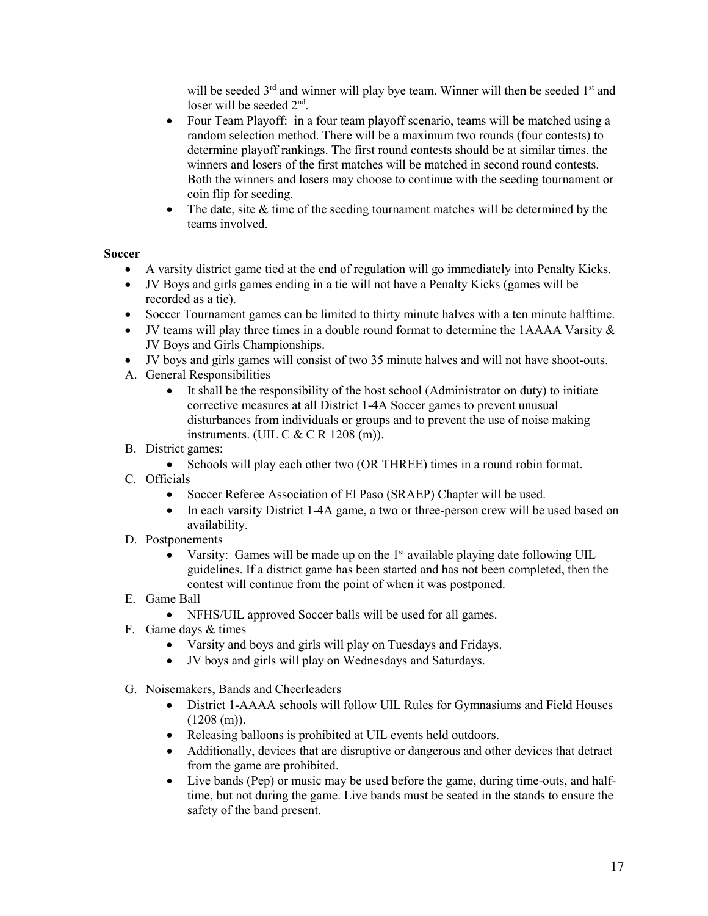will be seeded  $3<sup>rd</sup>$  and winner will play bye team. Winner will then be seeded  $1<sup>st</sup>$  and loser will be seeded 2nd.

- Four Team Playoff: in a four team playoff scenario, teams will be matched using a random selection method. There will be a maximum two rounds (four contests) to determine playoff rankings. The first round contests should be at similar times. the winners and losers of the first matches will be matched in second round contests. Both the winners and losers may choose to continue with the seeding tournament or coin flip for seeding.
- The date, site  $&$  time of the seeding tournament matches will be determined by the teams involved.

### **Soccer**

- A varsity district game tied at the end of regulation will go immediately into Penalty Kicks.
- JV Boys and girls games ending in a tie will not have a Penalty Kicks (games will be recorded as a tie).
- Soccer Tournament games can be limited to thirty minute halves with a ten minute halftime.
- JV teams will play three times in a double round format to determine the 1AAAA Varsity & JV Boys and Girls Championships.
- JV boys and girls games will consist of two 35 minute halves and will not have shoot-outs.
- A. General Responsibilities
	- It shall be the responsibility of the host school (Administrator on duty) to initiate corrective measures at all District 1-4A Soccer games to prevent unusual disturbances from individuals or groups and to prevent the use of noise making instruments. (UIL C  $&$  C R 1208 (m)).
- B. District games:
	- Schools will play each other two (OR THREE) times in a round robin format.
- C. Officials
	- Soccer Referee Association of El Paso (SRAEP) Chapter will be used.
	- In each varsity District 1-4A game, a two or three-person crew will be used based on availability.
- D. Postponements
	- Varsity: Games will be made up on the  $1<sup>st</sup>$  available playing date following UIL guidelines. If a district game has been started and has not been completed, then the contest will continue from the point of when it was postponed.
- E. Game Ball
	- NFHS/UIL approved Soccer balls will be used for all games.
- F. Game days & times
	- Varsity and boys and girls will play on Tuesdays and Fridays.
	- JV boys and girls will play on Wednesdays and Saturdays.
- G. Noisemakers, Bands and Cheerleaders
	- District 1-AAAA schools will follow UIL Rules for Gymnasiums and Field Houses  $(1208(m)).$
	- Releasing balloons is prohibited at UIL events held outdoors.
	- Additionally, devices that are disruptive or dangerous and other devices that detract from the game are prohibited.
	- Live bands (Pep) or music may be used before the game, during time-outs, and halftime, but not during the game. Live bands must be seated in the stands to ensure the safety of the band present.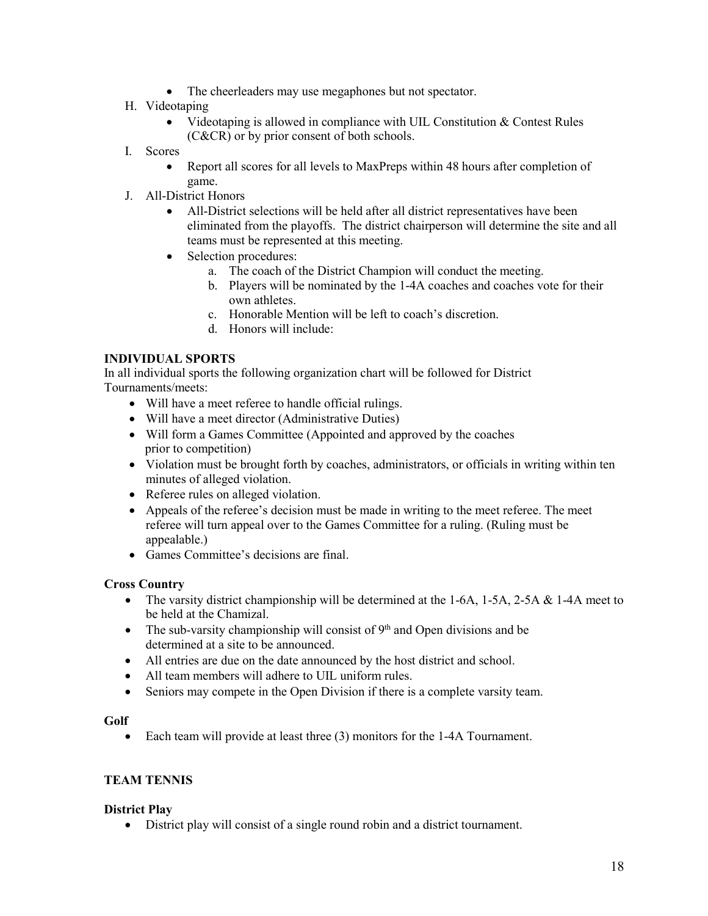- The cheerleaders may use megaphones but not spectator.
- H. Videotaping
	- Videotaping is allowed in compliance with UIL Constitution & Contest Rules (C&CR) or by prior consent of both schools.
- I. Scores
	- Report all scores for all levels to MaxPreps within 48 hours after completion of game.
- J. All-District Honors
	- All-District selections will be held after all district representatives have been eliminated from the playoffs. The district chairperson will determine the site and all teams must be represented at this meeting.
	- Selection procedures:
		- a. The coach of the District Champion will conduct the meeting.
		- b. Players will be nominated by the 1-4A coaches and coaches vote for their own athletes.
		- c. Honorable Mention will be left to coach's discretion.
		- d. Honors will include:

### **INDIVIDUAL SPORTS**

In all individual sports the following organization chart will be followed for District Tournaments/meets:

- Will have a meet referee to handle official rulings.
- Will have a meet director (Administrative Duties)
- Will form a Games Committee (Appointed and approved by the coaches prior to competition)
- Violation must be brought forth by coaches, administrators, or officials in writing within ten minutes of alleged violation.
- Referee rules on alleged violation.
- Appeals of the referee's decision must be made in writing to the meet referee. The meet referee will turn appeal over to the Games Committee for a ruling. (Ruling must be appealable.)
- Games Committee's decisions are final.

### **Cross Country**

- The varsity district championship will be determined at the 1-6A, 1-5A, 2-5A & 1-4A meet to be held at the Chamizal.
- The sub-varsity championship will consist of  $9<sup>th</sup>$  and Open divisions and be determined at a site to be announced.
- All entries are due on the date announced by the host district and school.
- All team members will adhere to UIL uniform rules.
- Seniors may compete in the Open Division if there is a complete varsity team.

### **Golf**

• Each team will provide at least three (3) monitors for the 1-4A Tournament.

### **TEAM TENNIS**

### **District Play**

• District play will consist of a single round robin and a district tournament.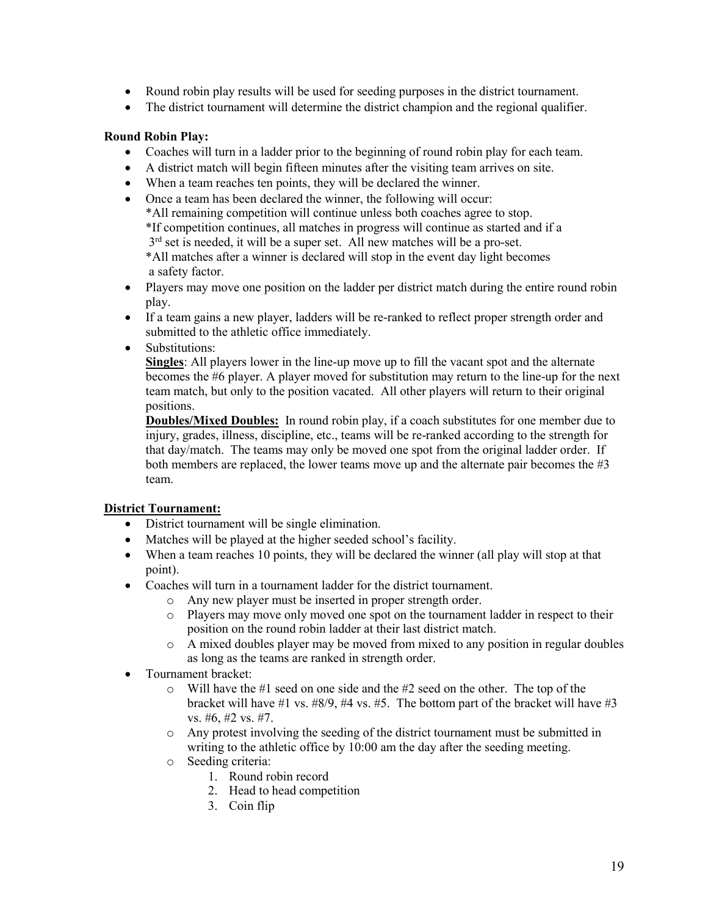- Round robin play results will be used for seeding purposes in the district tournament.
- The district tournament will determine the district champion and the regional qualifier.

### **Round Robin Play:**

- Coaches will turn in a ladder prior to the beginning of round robin play for each team.
- A district match will begin fifteen minutes after the visiting team arrives on site.
- When a team reaches ten points, they will be declared the winner.
- Once a team has been declared the winner, the following will occur: \*All remaining competition will continue unless both coaches agree to stop. \*If competition continues, all matches in progress will continue as started and if a  $3<sup>rd</sup>$  set is needed, it will be a super set. All new matches will be a pro-set.

\*All matches after a winner is declared will stop in the event day light becomes a safety factor.

- Players may move one position on the ladder per district match during the entire round robin play.
- If a team gains a new player, ladders will be re-ranked to reflect proper strength order and submitted to the athletic office immediately.
- Substitutions:

**Singles**: All players lower in the line-up move up to fill the vacant spot and the alternate becomes the #6 player. A player moved for substitution may return to the line-up for the next team match, but only to the position vacated. All other players will return to their original positions.

**Doubles/Mixed Doubles:** In round robin play, if a coach substitutes for one member due to injury, grades, illness, discipline, etc., teams will be re-ranked according to the strength for that day/match. The teams may only be moved one spot from the original ladder order. If both members are replaced, the lower teams move up and the alternate pair becomes the #3 team.

# **District Tournament:**

- District tournament will be single elimination.
- Matches will be played at the higher seeded school's facility.
- When a team reaches 10 points, they will be declared the winner (all play will stop at that point).
- Coaches will turn in a tournament ladder for the district tournament.
	- o Any new player must be inserted in proper strength order.
	- o Players may move only moved one spot on the tournament ladder in respect to their position on the round robin ladder at their last district match.
	- o A mixed doubles player may be moved from mixed to any position in regular doubles as long as the teams are ranked in strength order.
- Tournament bracket:
	- o Will have the #1 seed on one side and the #2 seed on the other. The top of the bracket will have #1 vs. #8/9, #4 vs. #5. The bottom part of the bracket will have #3 vs. #6, #2 vs. #7.
	- o Any protest involving the seeding of the district tournament must be submitted in writing to the athletic office by 10:00 am the day after the seeding meeting.
	- o Seeding criteria:
		- 1. Round robin record
		- 2. Head to head competition
		- 3. Coin flip